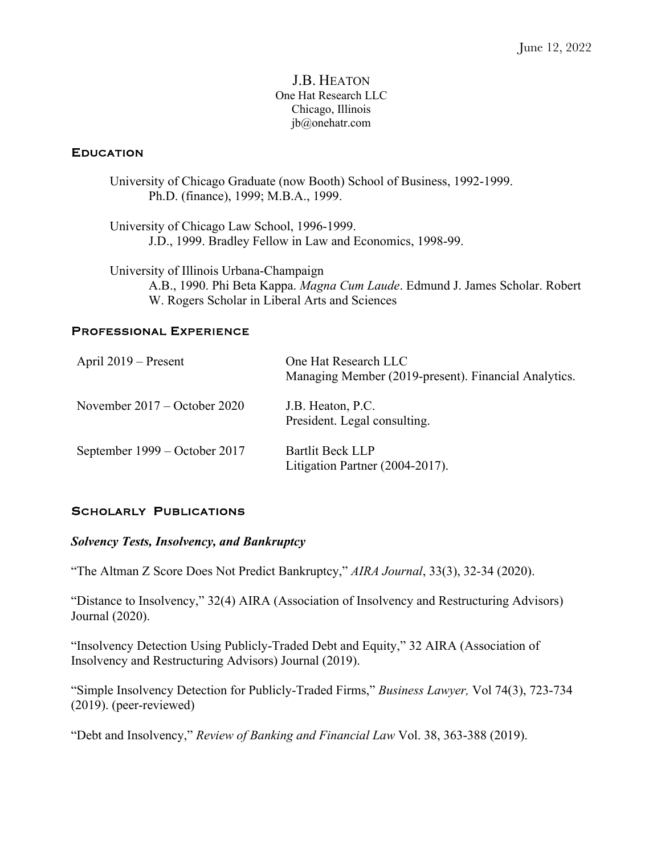#### J.B. HEATON One Hat Research LLC Chicago, Illinois jb@onehatr.com

### EDUCATION

University of Chicago Graduate (now Booth) School of Business, 1992-1999. Ph.D. (finance), 1999; M.B.A., 1999.

University of Chicago Law School, 1996-1999. J.D., 1999. Bradley Fellow in Law and Economics, 1998-99.

University of Illinois Urbana-Champaign A.B., 1990. Phi Beta Kappa. *Magna Cum Laude*. Edmund J. James Scholar. Robert W. Rogers Scholar in Liberal Arts and Sciences

#### PROFESSIONAL EXPERIENCE

| April $2019$ – Present         | One Hat Research LLC<br>Managing Member (2019-present). Financial Analytics. |
|--------------------------------|------------------------------------------------------------------------------|
| November $2017 -$ October 2020 | J.B. Heaton, P.C.<br>President. Legal consulting.                            |
| September 1999 – October 2017  | Bartlit Beck LLP<br>Litigation Partner (2004-2017).                          |

### SCHOLARLY PUBLICATIONS

### *Solvency Tests, Insolvency, and Bankruptcy*

"The Altman Z Score Does Not Predict Bankruptcy," *AIRA Journal*, 33(3), 32-34 (2020).

"Distance to Insolvency," 32(4) AIRA (Association of Insolvency and Restructuring Advisors) Journal (2020).

"Insolvency Detection Using Publicly-Traded Debt and Equity," 32 AIRA (Association of Insolvency and Restructuring Advisors) Journal (2019).

"Simple Insolvency Detection for Publicly-Traded Firms," *Business Lawyer,* Vol 74(3), 723-734 (2019). (peer-reviewed)

"Debt and Insolvency," *Review of Banking and Financial Law* Vol. 38, 363-388 (2019).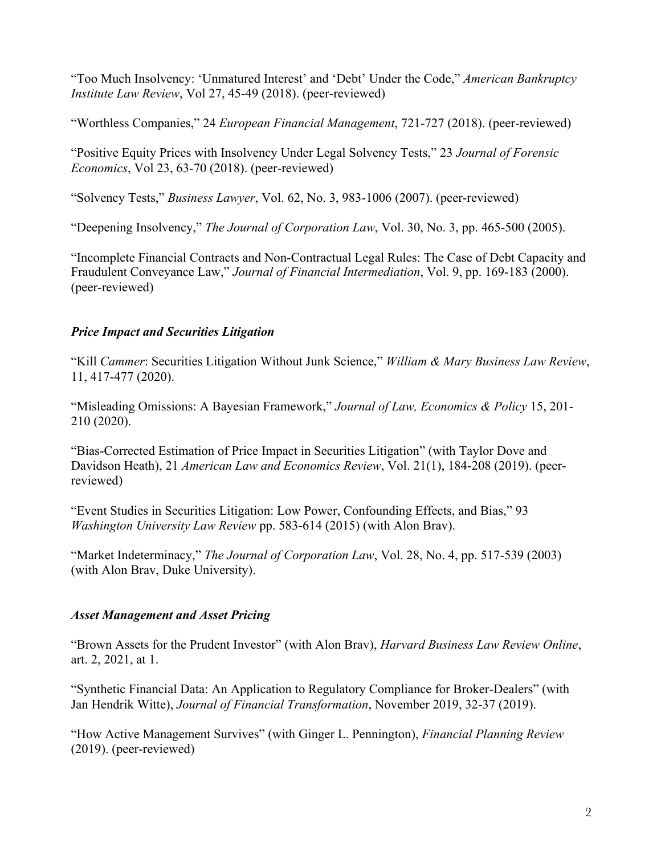"Too Much Insolvency: 'Unmatured Interest' and 'Debt' Under the Code," *American Bankruptcy Institute Law Review*, Vol 27, 45-49 (2018). (peer-reviewed)

"Worthless Companies," 24 *European Financial Management*, 721-727 (2018). (peer-reviewed)

"Positive Equity Prices with Insolvency Under Legal Solvency Tests," 23 *Journal of Forensic Economics*, Vol 23, 63-70 (2018). (peer-reviewed)

"Solvency Tests," *Business Lawyer*, Vol. 62, No. 3, 983-1006 (2007). (peer-reviewed)

"Deepening Insolvency," *The Journal of Corporation Law*, Vol. 30, No. 3, pp. 465-500 (2005).

"Incomplete Financial Contracts and Non-Contractual Legal Rules: The Case of Debt Capacity and Fraudulent Conveyance Law," *Journal of Financial Intermediation*, Vol. 9, pp. 169-183 (2000). (peer-reviewed)

# *Price Impact and Securities Litigation*

"Kill *Cammer*: Securities Litigation Without Junk Science," *William & Mary Business Law Review*, 11, 417-477 (2020).

"Misleading Omissions: A Bayesian Framework," *Journal of Law, Economics & Policy* 15, 201- 210 (2020).

"Bias-Corrected Estimation of Price Impact in Securities Litigation" (with Taylor Dove and Davidson Heath), 21 *American Law and Economics Review*, Vol. 21(1), 184-208 (2019). (peerreviewed)

"Event Studies in Securities Litigation: Low Power, Confounding Effects, and Bias," 93 *Washington University Law Review* pp. 583-614 (2015) (with Alon Brav).

"Market Indeterminacy," *The Journal of Corporation Law*, Vol. 28, No. 4, pp. 517-539 (2003) (with Alon Brav, Duke University).

## *Asset Management and Asset Pricing*

"Brown Assets for the Prudent Investor" (with Alon Brav), *Harvard Business Law Review Online*, art. 2, 2021, at 1.

"Synthetic Financial Data: An Application to Regulatory Compliance for Broker-Dealers" (with Jan Hendrik Witte), *Journal of Financial Transformation*, November 2019, 32-37 (2019).

"How Active Management Survives" (with Ginger L. Pennington), *Financial Planning Review* (2019). (peer-reviewed)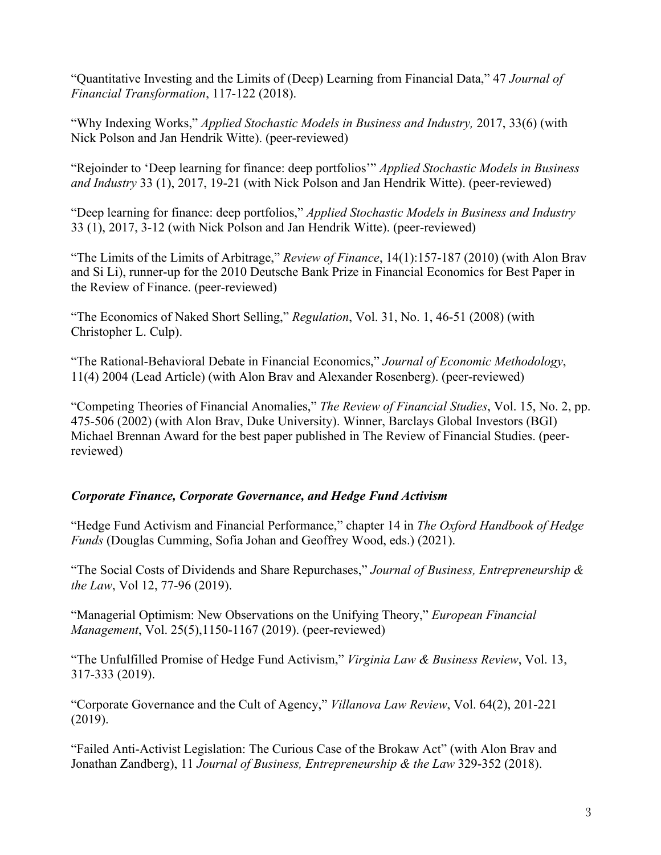"Quantitative Investing and the Limits of (Deep) Learning from Financial Data," 47 *Journal of Financial Transformation*, 117-122 (2018).

"Why Indexing Works," *Applied Stochastic Models in Business and Industry,* 2017, 33(6) (with Nick Polson and Jan Hendrik Witte). (peer-reviewed)

"Rejoinder to 'Deep learning for finance: deep portfolios'" *Applied Stochastic Models in Business and Industry* 33 (1), 2017, 19-21 (with Nick Polson and Jan Hendrik Witte). (peer-reviewed)

"Deep learning for finance: deep portfolios," *Applied Stochastic Models in Business and Industry* 33 (1), 2017, 3-12 (with Nick Polson and Jan Hendrik Witte). (peer-reviewed)

"The Limits of the Limits of Arbitrage," *Review of Finance*, 14(1):157-187 (2010) (with Alon Brav and Si Li), runner-up for the 2010 Deutsche Bank Prize in Financial Economics for Best Paper in the Review of Finance. (peer-reviewed)

"The Economics of Naked Short Selling," *Regulation*, Vol. 31, No. 1, 46-51 (2008) (with Christopher L. Culp).

"The Rational-Behavioral Debate in Financial Economics," *Journal of Economic Methodology*, 11(4) 2004 (Lead Article) (with Alon Brav and Alexander Rosenberg). (peer-reviewed)

"Competing Theories of Financial Anomalies," *The Review of Financial Studies*, Vol. 15, No. 2, pp. 475-506 (2002) (with Alon Brav, Duke University). Winner, Barclays Global Investors (BGI) Michael Brennan Award for the best paper published in The Review of Financial Studies. (peerreviewed)

## *Corporate Finance, Corporate Governance, and Hedge Fund Activism*

"Hedge Fund Activism and Financial Performance," chapter 14 in *The Oxford Handbook of Hedge Funds* (Douglas Cumming, Sofia Johan and Geoffrey Wood, eds.) (2021).

"The Social Costs of Dividends and Share Repurchases," *Journal of Business, Entrepreneurship & the Law*, Vol 12, 77-96 (2019).

"Managerial Optimism: New Observations on the Unifying Theory," *European Financial Management*, Vol. 25(5),1150-1167 (2019). (peer-reviewed)

"The Unfulfilled Promise of Hedge Fund Activism," *Virginia Law & Business Review*, Vol. 13, 317-333 (2019).

"Corporate Governance and the Cult of Agency," *Villanova Law Review*, Vol. 64(2), 201-221 (2019).

"Failed Anti-Activist Legislation: The Curious Case of the Brokaw Act" (with Alon Brav and Jonathan Zandberg), 11 *Journal of Business, Entrepreneurship & the Law* 329-352 (2018).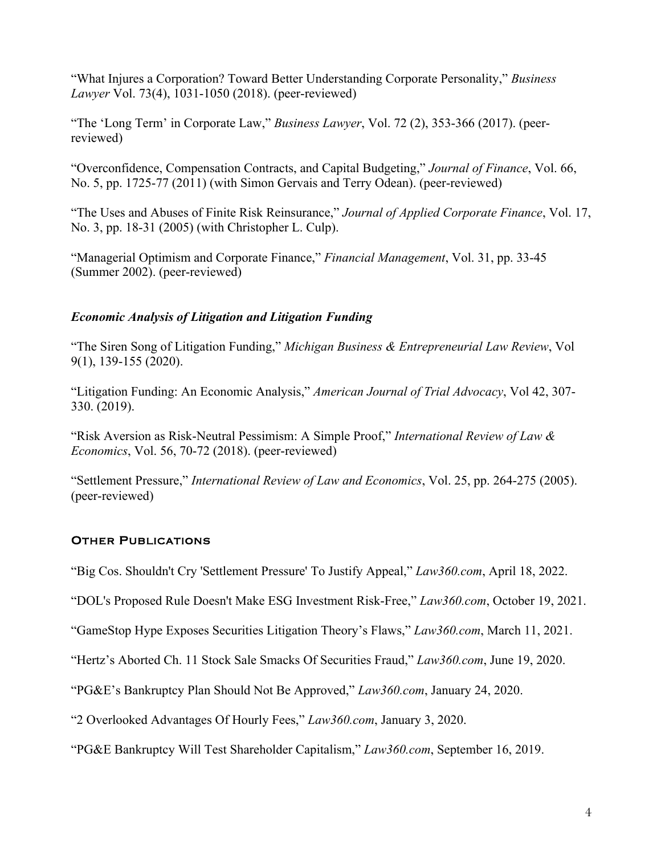"What Injures a Corporation? Toward Better Understanding Corporate Personality," *Business Lawyer* Vol. 73(4), 1031-1050 (2018). (peer-reviewed)

"The 'Long Term' in Corporate Law," *Business Lawyer*, Vol. 72 (2), 353-366 (2017). (peerreviewed)

"Overconfidence, Compensation Contracts, and Capital Budgeting," *Journal of Finance*, Vol. 66, No. 5, pp. 1725-77 (2011) (with Simon Gervais and Terry Odean). (peer-reviewed)

"The Uses and Abuses of Finite Risk Reinsurance," *Journal of Applied Corporate Finance*, Vol. 17, No. 3, pp. 18-31 (2005) (with Christopher L. Culp).

"Managerial Optimism and Corporate Finance," *Financial Management*, Vol. 31, pp. 33-45 (Summer 2002). (peer-reviewed)

### *Economic Analysis of Litigation and Litigation Funding*

"The Siren Song of Litigation Funding," *Michigan Business & Entrepreneurial Law Review*, Vol 9(1), 139-155 (2020).

"Litigation Funding: An Economic Analysis," *American Journal of Trial Advocacy*, Vol 42, 307- 330. (2019).

"Risk Aversion as Risk-Neutral Pessimism: A Simple Proof," *International Review of Law & Economics*, Vol. 56, 70-72 (2018). (peer-reviewed)

"Settlement Pressure," *International Review of Law and Economics*, Vol. 25, pp. 264-275 (2005). (peer-reviewed)

## OTHER PUBLICATIONS

"Big Cos. Shouldn't Cry 'Settlement Pressure' To Justify Appeal," *Law360.com*, April 18, 2022.

"DOL's Proposed Rule Doesn't Make ESG Investment Risk-Free," *Law360.com*, October 19, 2021.

"GameStop Hype Exposes Securities Litigation Theory's Flaws," *Law360.com*, March 11, 2021.

"Hertz's Aborted Ch. 11 Stock Sale Smacks Of Securities Fraud," *Law360.com*, June 19, 2020.

"PG&E's Bankruptcy Plan Should Not Be Approved," *Law360.com*, January 24, 2020.

"2 Overlooked Advantages Of Hourly Fees," *Law360.com*, January 3, 2020.

"PG&E Bankruptcy Will Test Shareholder Capitalism," *Law360.com*, September 16, 2019.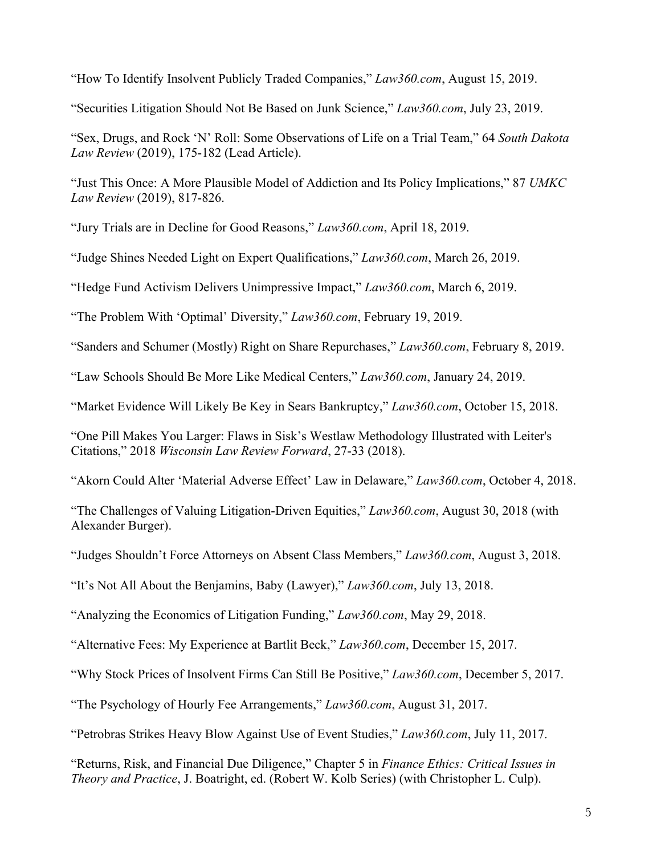"How To Identify Insolvent Publicly Traded Companies," *Law360.com*, August 15, 2019.

"Securities Litigation Should Not Be Based on Junk Science," *Law360.com*, July 23, 2019.

"Sex, Drugs, and Rock 'N' Roll: Some Observations of Life on a Trial Team," 64 *South Dakota Law Review* (2019), 175-182 (Lead Article).

"Just This Once: A More Plausible Model of Addiction and Its Policy Implications," 87 *UMKC Law Review* (2019), 817-826.

"Jury Trials are in Decline for Good Reasons," *Law360.com*, April 18, 2019.

"Judge Shines Needed Light on Expert Qualifications," *Law360.com*, March 26, 2019.

"Hedge Fund Activism Delivers Unimpressive Impact," *Law360.com*, March 6, 2019.

"The Problem With 'Optimal' Diversity," *Law360.com*, February 19, 2019.

"Sanders and Schumer (Mostly) Right on Share Repurchases," *Law360.com*, February 8, 2019.

"Law Schools Should Be More Like Medical Centers," *Law360.com*, January 24, 2019.

"Market Evidence Will Likely Be Key in Sears Bankruptcy," *Law360.com*, October 15, 2018.

"One Pill Makes You Larger: Flaws in Sisk's Westlaw Methodology Illustrated with Leiter's Citations," 2018 *Wisconsin Law Review Forward*, 27-33 (2018).

"Akorn Could Alter 'Material Adverse Effect' Law in Delaware," *Law360.com*, October 4, 2018.

"The Challenges of Valuing Litigation-Driven Equities," *Law360.com*, August 30, 2018 (with Alexander Burger).

"Judges Shouldn't Force Attorneys on Absent Class Members," *Law360.com*, August 3, 2018.

"It's Not All About the Benjamins, Baby (Lawyer)," *Law360.com*, July 13, 2018.

"Analyzing the Economics of Litigation Funding," *Law360.com*, May 29, 2018.

"Alternative Fees: My Experience at Bartlit Beck," *Law360.com*, December 15, 2017.

"Why Stock Prices of Insolvent Firms Can Still Be Positive," *Law360.com*, December 5, 2017.

"The Psychology of Hourly Fee Arrangements," *Law360.com*, August 31, 2017.

"Petrobras Strikes Heavy Blow Against Use of Event Studies," *Law360.com*, July 11, 2017.

"Returns, Risk, and Financial Due Diligence," Chapter 5 in *Finance Ethics: Critical Issues in Theory and Practice*, J. Boatright, ed. (Robert W. Kolb Series) (with Christopher L. Culp).